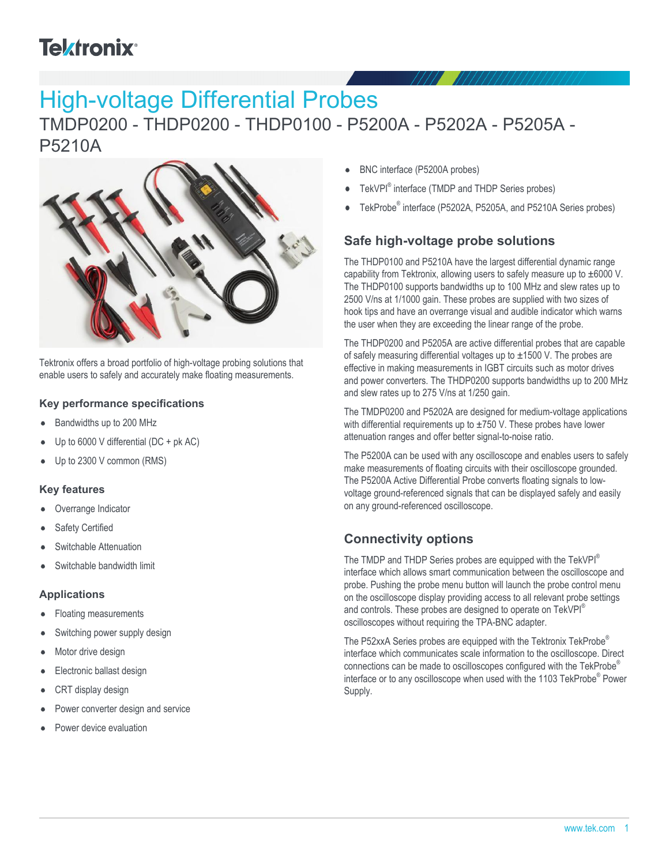# **Telxtronix**<sup>®</sup>

# High-voltage Differential Probes

## TMDP0200 - THDP0200 - THDP0100 - P5200A - P5202A - P5205A - P5210A



Tektronix offers a broad portfolio of high-voltage probing solutions that enable users to safely and accurately make floating measurements.

#### **Key performance specifications**

- Bandwidths up to 200 MHz
- Up to 6000 V differential (DC + pk AC)
- Up to 2300 V common (RMS)

#### **Key features**

- Overrange Indicator
- Safety Certified
- Switchable Attenuation
- Switchable bandwidth limit

#### **Applications**

- Floating measurements
- Switching power supply design
- Motor drive design
- Electronic ballast design
- CRT display design
- Power converter design and service
- Power device evaluation
- BNC interface (P5200A probes)
- TekVPI® interface (TMDP and THDP Series probes)
- TekProbe® interface (P5202A, P5205A, and P5210A Series probes)

### **Safe high-voltage probe solutions**

The THDP0100 and P5210A have the largest differential dynamic range capability from Tektronix, allowing users to safely measure up to ±6000 V. The THDP0100 supports bandwidths up to 100 MHz and slew rates up to 2500 V/ns at 1/1000 gain. These probes are supplied with two sizes of hook tips and have an overrange visual and audible indicator which warns the user when they are exceeding the linear range of the probe.

The THDP0200 and P5205A are active differential probes that are capable of safely measuring differential voltages up to ±1500 V. The probes are effective in making measurements in IGBT circuits such as motor drives and power converters. The THDP0200 supports bandwidths up to 200 MHz and slew rates up to 275 V/ns at 1/250 gain.

The TMDP0200 and P5202A are designed for medium-voltage applications with differential requirements up to  $\pm$ 750 V. These probes have lower attenuation ranges and offer better signal-to-noise ratio.

The P5200A can be used with any oscilloscope and enables users to safely make measurements of floating circuits with their oscilloscope grounded. The P5200A Active Differential Probe converts floating signals to lowvoltage ground-referenced signals that can be displayed safely and easily on any ground-referenced oscilloscope.

### **Connectivity options**

The TMDP and THDP Series probes are equipped with the TekVPI® interface which allows smart communication between the oscilloscope and probe. Pushing the probe menu button will launch the probe control menu on the oscilloscope display providing access to all relevant probe settings and controls. These probes are designed to operate on TekVPI<sup>®</sup> oscilloscopes without requiring the TPA-BNC adapter.

The P52xxA Series probes are equipped with the Tektronix TekProbe® interface which communicates scale information to the oscilloscope. Direct connections can be made to oscilloscopes configured with the TekProbe® interface or to any oscilloscope when used with the 1103 TekProbe® Power Supply.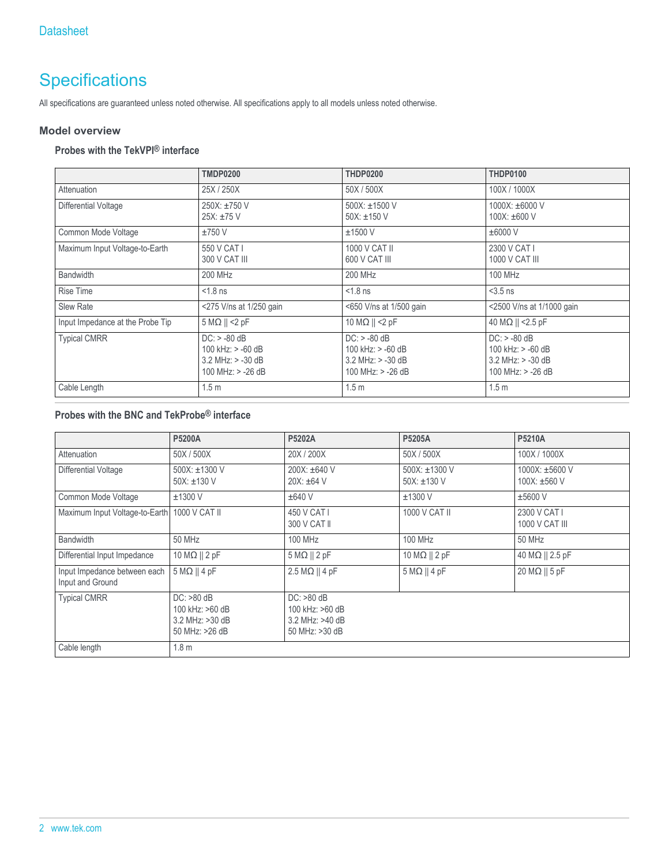## **Specifications**

All specifications are guaranteed unless noted otherwise. All specifications apply to all models unless noted otherwise.

#### **Model overview**

### **Probes with the TekVPI® interface**

|                                  | <b>TMDP0200</b>                                                                     | <b>THDP0200</b>                                                                     | <b>THDP0100</b>                                                                       |
|----------------------------------|-------------------------------------------------------------------------------------|-------------------------------------------------------------------------------------|---------------------------------------------------------------------------------------|
| Attenuation                      | 25X / 250X                                                                          | 50X / 500X                                                                          | 100X / 1000X                                                                          |
| Differential Voltage             | 250X: ±750 V<br>25X: ±75 V                                                          | $500X: \pm 1500$ V<br>50X: $\pm$ 150 V                                              | $1000X: \pm 6000V$<br>$100X: \pm 600 V$                                               |
| Common Mode Voltage              | $±750$ V                                                                            | $±1500$ V                                                                           | $\pm 6000$ V                                                                          |
| Maximum Input Voltage-to-Earth   | 550 V CAT I<br>300 V CAT III                                                        | 1000 V CAT II<br>600 V CAT III                                                      | 2300 V CAT I<br>1000 V CAT III                                                        |
| <b>Bandwidth</b>                 | <b>200 MHz</b>                                                                      | <b>200 MHz</b>                                                                      | 100 MHz                                                                               |
| <b>Rise Time</b>                 | $< 1.8$ ns                                                                          | $< 1.8$ ns                                                                          | $<$ 3.5 ns                                                                            |
| Slew Rate                        | <275 V/ns at 1/250 gain                                                             | <650 V/ns at 1/500 gain                                                             | <2500 V/ns at 1/1000 gain                                                             |
| Input Impedance at the Probe Tip | $5 M\Omega$    <2 pF                                                                | 10 M $\Omega$    <2 pF                                                              | 40 MΩ    <2.5 pF                                                                      |
| <b>Typical CMRR</b>              | $DC: > -80 dB$<br>100 kHz: $> -60$ dB<br>$3.2$ MHz: $> -30$ dB<br>100 MHz: > -26 dB | $DC: > -80$ dB<br>100 kHz: > -60 dB<br>$3.2$ MHz: $> -30$ dB<br>100 MHz: $> -26$ dB | $DC: > -80$ dB<br>100 kHz: $> -60$ dB<br>$3.2$ MHz: $> -30$ dB<br>100 MHz: $> -26$ dB |
| Cable Length                     | 1.5 <sub>m</sub>                                                                    | 1.5 <sub>m</sub>                                                                    | 1.5 <sub>m</sub>                                                                      |

#### **Probes with the BNC and TekProbe® interface**

|                                                  | <b>P5200A</b>                                                        | P5202A                                                               | P5205A                            | P5210A                         |
|--------------------------------------------------|----------------------------------------------------------------------|----------------------------------------------------------------------|-----------------------------------|--------------------------------|
| Attenuation                                      | 50X/500X                                                             | 20X / 200X                                                           | 50X/500X                          | 100X / 1000X                   |
| Differential Voltage                             | 500X: ±1300 V<br>$50X: \pm 130V$                                     | 200X: ±640 V<br>$20X: \pm 64$ V                                      | 500X: ±1300 V<br>50X: $\pm$ 130 V | 1000X: ±5600 V<br>100X: ±560 V |
| Common Mode Voltage                              | $±1300$ V                                                            | $±640$ V                                                             | $±1300$ V                         | $\pm 5600$ V                   |
| Maximum Input Voltage-to-Earth                   | 1000 V CAT II                                                        | 450 V CAT I<br>300 V CAT II                                          | 1000 V CAT II                     | 2300 V CAT I<br>1000 V CAT III |
| <b>Bandwidth</b>                                 | <b>50 MHz</b>                                                        | <b>100 MHz</b>                                                       | <b>100 MHz</b>                    | 50 MHz                         |
| Differential Input Impedance                     | $10 \text{ M}\Omega$    2 pF                                         | $5 M\Omega    2 pF$                                                  | 10 M $\Omega$    2 pF             | 40 ΜΩ    2.5 pF                |
| Input Impedance between each<br>Input and Ground | $5 M\Omega    4 pF$                                                  | $2.5 M\Omega    4 pF$                                                | $5 M\Omega    4 pF$               | 20 M $\Omega$    5 pF          |
| <b>Typical CMRR</b>                              | $DC: >80$ dB<br>100 kHz: >60 dB<br>3.2 MHz: >30 dB<br>50 MHz: >26 dB | $DC: >80$ dB<br>100 kHz: >60 dB<br>3.2 MHz: >40 dB<br>50 MHz: >30 dB |                                   |                                |
| Cable length                                     | 1.8 <sub>m</sub>                                                     |                                                                      |                                   |                                |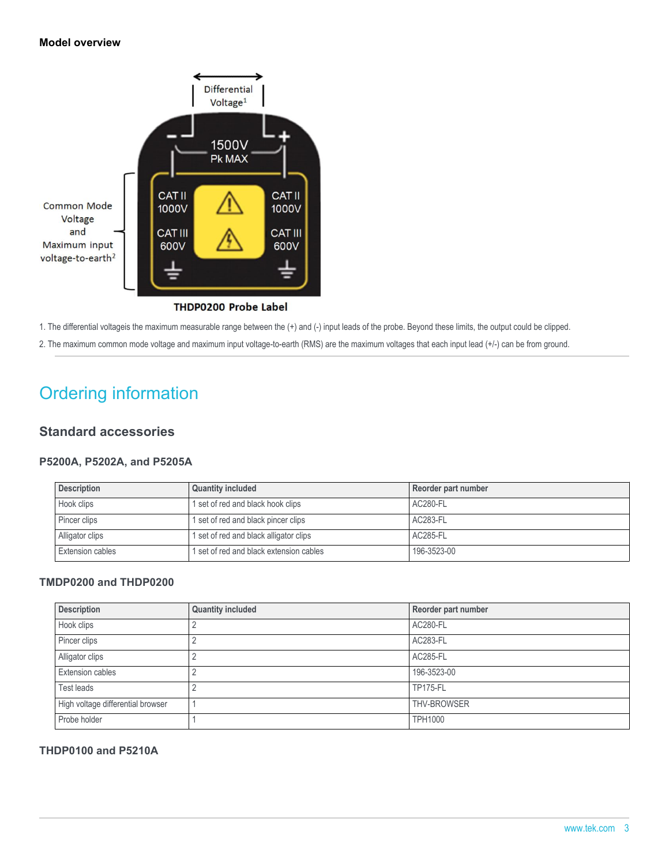#### **Model overview**



THDP0200 Probe Label

1. The differential voltageis the maximum measurable range between the (+) and (-) input leads of the probe. Beyond these limits, the output could be clipped.

2. The maximum common mode voltage and maximum input voltage-to-earth (RMS) are the maximum voltages that each input lead (+/-) can be from ground.

## Ordering information

#### **Standard accessories**

#### **P5200A, P5202A, and P5205A**

| <b>Description</b>      | <b>Quantity included</b>               | Reorder part number |
|-------------------------|----------------------------------------|---------------------|
| Hook clips              | 1 set of red and black hook clips      | AC280-FL            |
| Pincer clips            | 1 set of red and black pincer clips    | AC283-FL            |
| Alligator clips         | I set of red and black alligator clips | AC285-FL            |
| <b>Extension cables</b> | set of red and black extension cables  | 196-3523-00         |

#### **TMDP0200 and THDP0200**

| <b>Description</b>                | <b>Quantity included</b> | Reorder part number |
|-----------------------------------|--------------------------|---------------------|
| Hook clips                        |                          | AC280-FL            |
| Pincer clips                      |                          | AC283-FL            |
| Alligator clips                   |                          | <b>AC285-FL</b>     |
| Extension cables                  |                          | 196-3523-00         |
| Test leads                        |                          | <b>TP175-FL</b>     |
| High voltage differential browser |                          | <b>THV-BROWSER</b>  |
| Probe holder                      |                          | <b>TPH1000</b>      |

#### **THDP0100 and P5210A**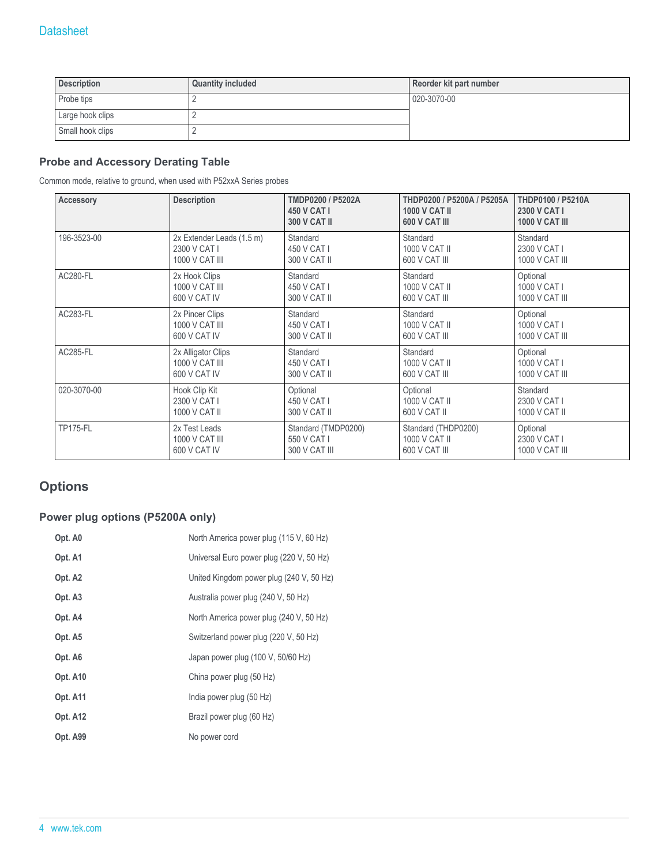| <b>Description</b> | <b>Quantity included</b> | Reorder kit part number |
|--------------------|--------------------------|-------------------------|
| Probe tips         |                          | 020-3070-00             |
| Large hook clips   |                          |                         |
| Small hook clips   |                          |                         |

#### **Probe and Accessory Derating Table**

Common mode, relative to ground, when used with P52xxA Series probes

| <b>Accessory</b> | <b>Description</b>        | TMDP0200 / P5202A<br>450 V CAT I<br><b>300 V CAT II</b> | THDP0200 / P5200A / P5205A<br><b>1000 V CAT II</b><br>600 V CAT III | <b>THDP0100 / P5210A</b><br>2300 V CAT I<br><b>1000 V CAT III</b> |
|------------------|---------------------------|---------------------------------------------------------|---------------------------------------------------------------------|-------------------------------------------------------------------|
| 196-3523-00      | 2x Extender Leads (1.5 m) | Standard                                                | Standard                                                            | Standard                                                          |
|                  | 2300 V CAT I              | 450 V CAT I                                             | 1000 V CAT II                                                       | 2300 V CAT I                                                      |
|                  | 1000 V CAT III            | 300 V CAT II                                            | 600 V CAT III                                                       | 1000 V CAT III                                                    |
| <b>AC280-FL</b>  | 2x Hook Clips             | Standard                                                | Standard                                                            | Optional                                                          |
|                  | 1000 V CAT III            | 450 V CAT I                                             | 1000 V CAT II                                                       | 1000 V CAT I                                                      |
|                  | 600 V CAT IV              | 300 V CAT II                                            | 600 V CAT III                                                       | 1000 V CAT III                                                    |
| <b>AC283-FL</b>  | 2x Pincer Clips           | Standard                                                | Standard                                                            | Optional                                                          |
|                  | 1000 V CAT III            | 450 V CAT I                                             | 1000 V CAT II                                                       | 1000 V CAT I                                                      |
|                  | 600 V CAT IV              | 300 V CAT II                                            | 600 V CAT III                                                       | 1000 V CAT III                                                    |
| <b>AC285-FL</b>  | 2x Alligator Clips        | Standard                                                | Standard                                                            | Optional                                                          |
|                  | 1000 V CAT III            | 450 V CAT I                                             | 1000 V CAT II                                                       | 1000 V CAT I                                                      |
|                  | 600 V CAT IV              | 300 V CAT II                                            | 600 V CAT III                                                       | 1000 V CAT III                                                    |
| 020-3070-00      | Hook Clip Kit             | Optional                                                | Optional                                                            | Standard                                                          |
|                  | 2300 V CAT I              | 450 V CAT I                                             | 1000 V CAT II                                                       | 2300 V CAT I                                                      |
|                  | 1000 V CAT II             | 300 V CAT II                                            | 600 V CAT II                                                        | 1000 V CAT II                                                     |
| <b>TP175-FL</b>  | 2x Test Leads             | Standard (TMDP0200)                                     | Standard (THDP0200)                                                 | Optional                                                          |
|                  | 1000 V CAT III            | 550 V CAT I                                             | 1000 V CAT II                                                       | 2300 V CAT I                                                      |
|                  | 600 V CAT IV              | 300 V CAT III                                           | 600 V CAT III                                                       | 1000 V CAT III                                                    |

### **Options**

#### **Power plug options (P5200A only)**

| Opt. A0             | North America power plug (115 V, 60 Hz)  |
|---------------------|------------------------------------------|
| Opt. A1             | Universal Euro power plug (220 V, 50 Hz) |
| Opt. A2             | United Kingdom power plug (240 V, 50 Hz) |
| Opt. A <sub>3</sub> | Australia power plug (240 V, 50 Hz)      |
| Opt. A4             | North America power plug (240 V, 50 Hz)  |
| Opt. A5             | Switzerland power plug (220 V, 50 Hz)    |
| Opt. A6             | Japan power plug (100 V, 50/60 Hz)       |
| Opt. A10            | China power plug (50 Hz)                 |
| Opt. A11            | India power plug (50 Hz)                 |
| Opt. A12            | Brazil power plug (60 Hz)                |
| Opt. A99            | No power cord                            |
|                     |                                          |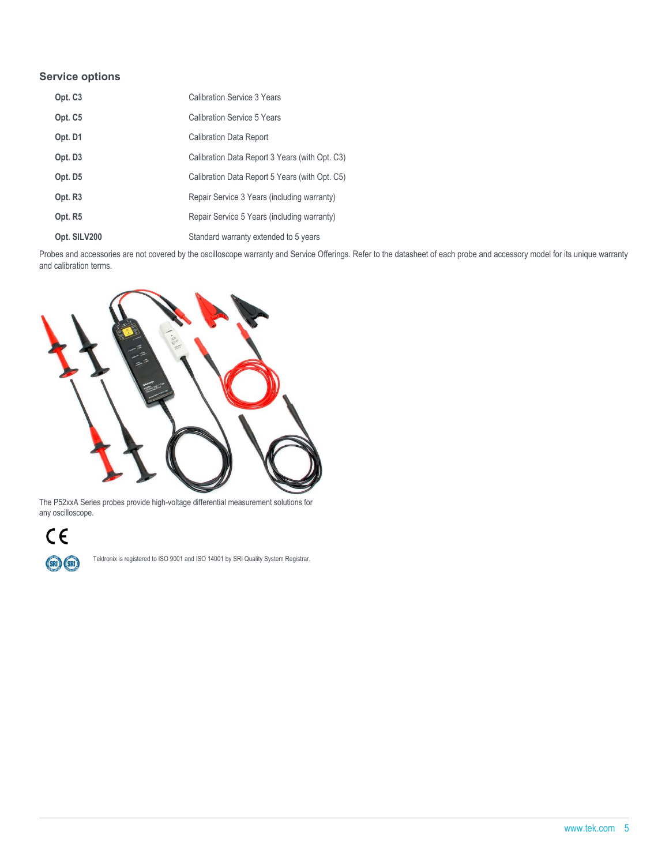#### **Service options**

| Opt. C <sub>3</sub> | <b>Calibration Service 3 Years</b>             |
|---------------------|------------------------------------------------|
| Opt. C <sub>5</sub> | Calibration Service 5 Years                    |
| Opt. D1             | <b>Calibration Data Report</b>                 |
| Opt. D <sub>3</sub> | Calibration Data Report 3 Years (with Opt. C3) |
| Opt. D5             | Calibration Data Report 5 Years (with Opt. C5) |
| Opt. R <sub>3</sub> | Repair Service 3 Years (including warranty)    |
| Opt. R5             | Repair Service 5 Years (including warranty)    |
| Opt. SILV200        | Standard warranty extended to 5 years          |

Probes and accessories are not covered by the oscilloscope warranty and Service Offerings. Refer to the datasheet of each probe and accessory model for its unique warranty and calibration terms.



The P52xxA Series probes provide high-voltage differential measurement solutions for any oscilloscope.



Tektronix is registered to ISO 9001 and ISO 14001 by SRI Quality System Registrar.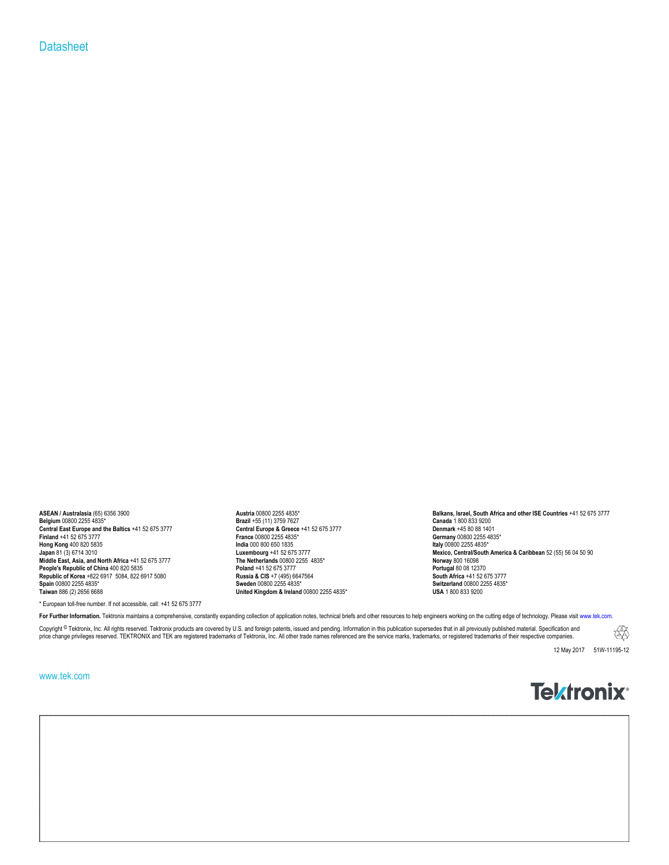#### **Datasheet**

0000255 1000 Central Europe & Greece +41 52 675 3777 Central Europe & Greece +41 52 675 3777 Central Europe and the Baltics +41 52 675 3777 Central Europe & Greece +41 52 675 3777 Cernany 00800 2255 4835\*<br>Finland +41 52 67 **Hong Kong** 400 820 5835 **India** 000 800 650 1835 **Italy** 00800 2255 4835\* All apan 81 (3) 6714 3010<br> **Middle East, Asia, and North Africa** +41 52 675 3777<br> **Middle East, Asia, and North Africa** +41 52 675 3777<br> **People's Republic of China** 400 820 5835<br> **People's Republic of China** 400 820 583 **People's Republic of China** 400 820 5835 **Poland** +41 52 675 3777 **Poland** +41 52 675 3777 **Portugal 80 08 12370**<br>**Rupublic of Korea** +822 6917 5084, 822 6917 5080 **Poland +41 52 675 3777 Poland +41 52 675 3777 Poland Republic of Korea** +822 6917 5084, 822 6917 5080 **Russia & CIS** +7 (495) 664<br>**South Africa +522 6917** 5084, 822 6917 5080 **Russia & CIS** +7 (495) 664 **Spain** 00800 2255 4835\* **Spain** 00800 2255 4835\* **Sweden** 00800 2255 4835\* **Switzerland** 00800 2255 4835\* **Switzerland** 00800 2255 4835\* **Switzerland** 00800 2255 4835\* **Switzerland** 00800 2255 4835\* **ISA** 1 800 833 9200

**Brazil** +55 (11) 3759 7627<br> **Canada** 1 800 833 9200<br> **France** 00800 2255 4835\* **Brazil +45 80 88 1401**<br> **Brazil +45 80 88 1401**<br> **Brazil +45 80 88 1401**<br> **Brazil +45 80 88 1401 United Kingdom & Ireland** 00800 2255 4835\*

**ASEAN / Australasia** (65) 6356 3900 **Austria 00800 2255 4835<sup>\*</sup> Austria 00800 2255 4835<sup>\*</sup> <b>Balkans, Israel, South Africa and other ISE Countries** +41 52 675 3777<br>**Belgium 00800 2255 4835**\* **Balkans, Israel, South Africa Mexico, Central/South America & Caribbean** 52 (55) 56 04 50 90<br>**Norway** 800 16098

\* European toll-free number. If not accessible, call: +41 52 675 3777

For Further Information. Tektronix maintains a comprehensive, constantly expanding collection of application notes, technical briefs and other resources to help engineers working on the cutting edge of technology. Please v

Copyright ® Tektronix, Inc. All rights reserved. Tektronix products are covered by U.S. and foreign patents, issued and pending. Information in this publication supersedes that in all previously published material. Specifi price change privileges reserved. TEKTRONIX and TEK are registered trademarks of Tektronix, Inc. All other trade names referenced are the service marks, trademarks, or registered trademarks of their respective companies.

12 May 2017 51W-11195-12

H

#### www.tek.com

## **Tektronix**<sup>®</sup>